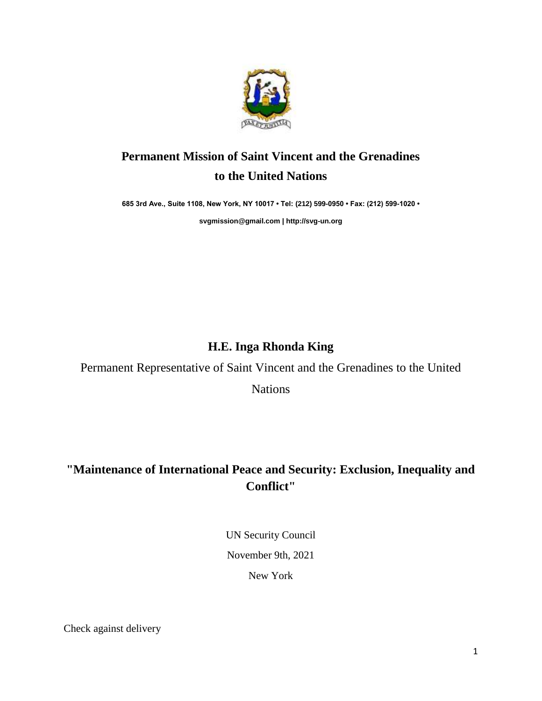

# **Permanent Mission of Saint Vincent and the Grenadines to the United Nations**

**685 3rd Ave., Suite 1108, New York, NY 10017 • Tel: (212) 599-0950 • Fax: (212) 599-1020 •** 

**[svgmission@gmail.com](mailto:svgmission@gmail.com) [| http://svg-un.org](http://svg-un.org/)**

### **H.E. Inga Rhonda King**

Permanent Representative of Saint Vincent and the Grenadines to the United

Nations

## **"Maintenance of International Peace and Security: Exclusion, Inequality and Conflict"**

UN Security Council November 9th, 2021 New York

Check against delivery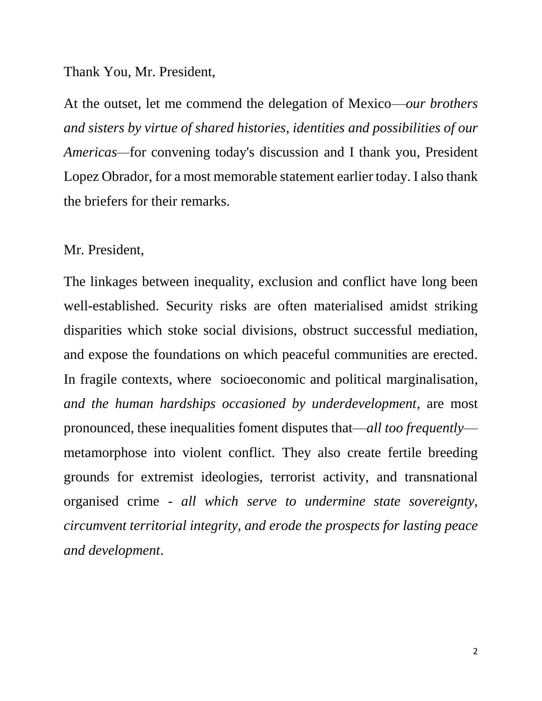#### Thank You, Mr. President,

At the outset, let me commend the delegation of Mexico—*our brothers and sisters by virtue of shared histories, identities and possibilities of our Americas—*for convening today's discussion and I thank you, President Lopez Obrador, for a most memorable statement earlier today. I also thank the briefers for their remarks.

### Mr. President,

The linkages between inequality, exclusion and conflict have long been well-established. Security risks are often materialised amidst striking disparities which stoke social divisions, obstruct successful mediation, and expose the foundations on which peaceful communities are erected. In fragile contexts, where socioeconomic and political marginalisation, *and the human hardships occasioned by underdevelopment*, are most pronounced, these inequalities foment disputes that—*all too frequently* metamorphose into violent conflict. They also create fertile breeding grounds for extremist ideologies, terrorist activity, and transnational organised crime - *all which serve to undermine state sovereignty, circumvent territorial integrity, and erode the prospects for lasting peace and development*.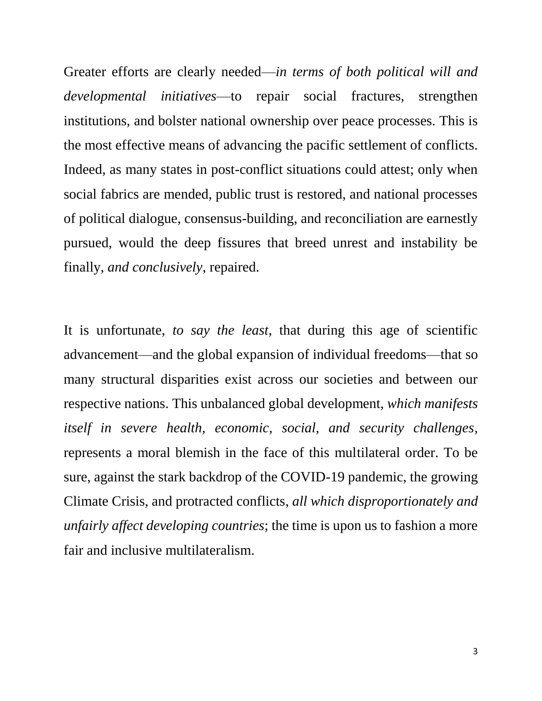Greater efforts are clearly needed—*in terms of both political will and developmental initiatives*—to repair social fractures, strengthen institutions, and bolster national ownership over peace processes. This is the most effective means of advancing the pacific settlement of conflicts. Indeed, as many states in post-conflict situations could attest; only when social fabrics are mended, public trust is restored, and national processes of political dialogue, consensus-building, and reconciliation are earnestly pursued, would the deep fissures that breed unrest and instability be finally, *and conclusively*, repaired.

It is unfortunate, *to say the least*, that during this age of scientific advancement—and the global expansion of individual freedoms—that so many structural disparities exist across our societies and between our respective nations. This unbalanced global development, *which manifests itself in severe health, economic, social, and security challenges,* represents a moral blemish in the face of this multilateral order. To be sure, against the stark backdrop of the COVID-19 pandemic, the growing Climate Crisis, and protracted conflicts, *all which disproportionately and unfairly affect developing countries*; the time is upon us to fashion a more fair and inclusive multilateralism.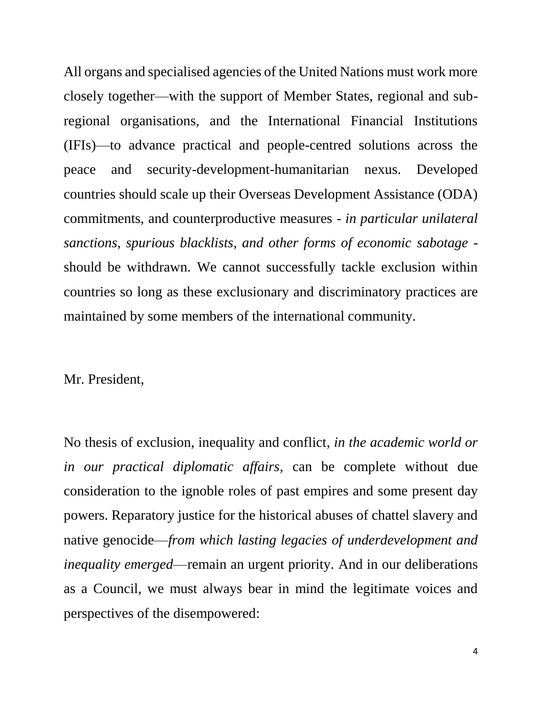All organs and specialised agencies of the United Nations must work more closely together—with the support of Member States, regional and subregional organisations, and the International Financial Institutions (IFIs)—to advance practical and people-centred solutions across the peace and security-development-humanitarian nexus. Developed countries should scale up their Overseas Development Assistance (ODA) commitments, and counterproductive measures - *in particular unilateral sanctions, spurious blacklists, and other forms of economic sabotage* should be withdrawn. We cannot successfully tackle exclusion within countries so long as these exclusionary and discriminatory practices are maintained by some members of the international community.

Mr. President,

No thesis of exclusion, inequality and conflict, *in the academic world or in our practical diplomatic affairs*, can be complete without due consideration to the ignoble roles of past empires and some present day powers. Reparatory justice for the historical abuses of chattel slavery and native genocide—*from which lasting legacies of underdevelopment and inequality emerged*—remain an urgent priority. And in our deliberations as a Council, we must always bear in mind the legitimate voices and perspectives of the disempowered: